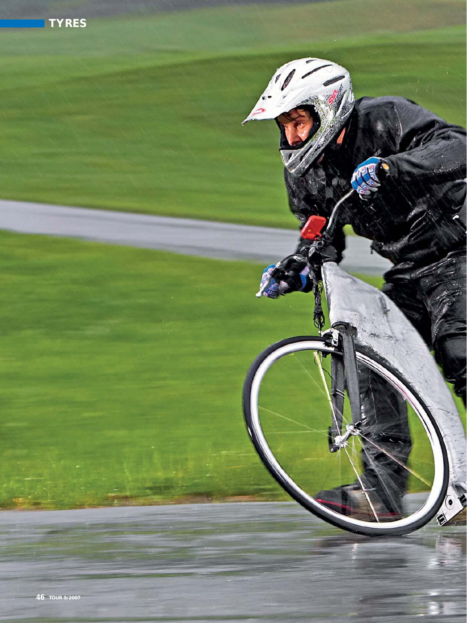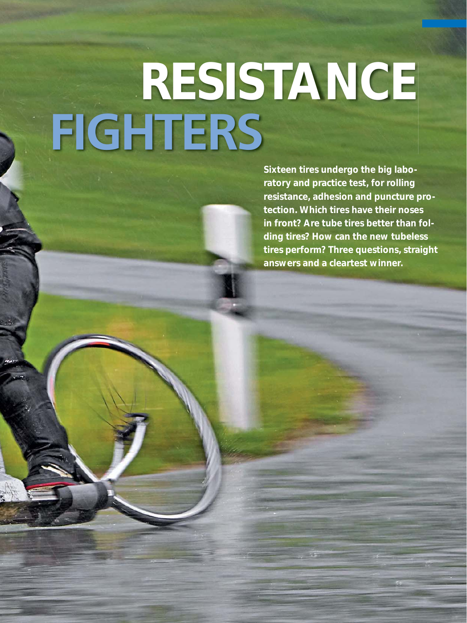# *RESISTANCE* **FIGHTERS**

*Sixteen tires undergo the big laboratory and practice test, for rolling resistance, adhesion and puncture protection. Which tires have their noses in front? Are tube tires better than folding tires? How can the new tubeless tires perform? Three questions, straight answers and a cleartest winner.*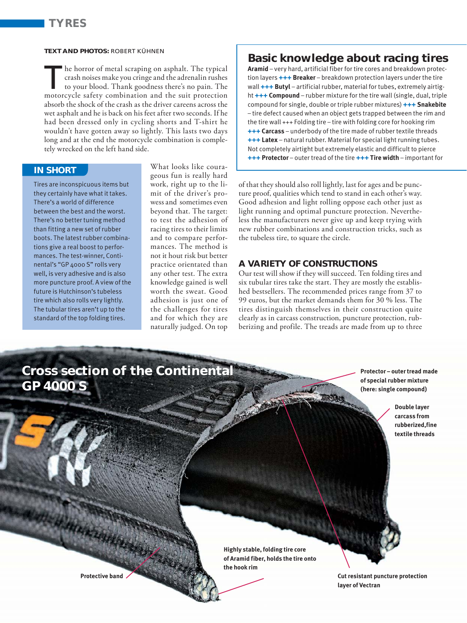#### *TEXT AND PHOTOS:* ROBERT KÜHNEN

he horror of metal scraping on asphalt. The typical crash noises make you cringe and the adrenalin rushes to your blood. Thank goodness there's no pain. The motorcycle safety combination and the suit protection absorb the shock of the crash as the driver careens across the wet asphalt and he is back on his feet after two seconds. If he had been dressed only in cycling shorts and T-shirt he wouldn't have gotten away so lightly. This lasts two days long and at the end the motorcycle combination is completely wrecked on the left hand side.

*Cross section of the Continental* 

#### *IN SHORT*

*GP 4000 S*

Tires are inconspicuous items but they certainly have what it takes. There's a world of difference between the best and the worst. There's no better tuning method than fitting a new set of rubber boots. The latest rubber combinations give a real boost to performances. The test-winner, Continental's "GP 4000 S" rolls very well, is very adhesive and is also more puncture proof. A view of the future is Hutchinson's tubeless tire which also rolls very lightly. The tubular tires aren't up to the standard of the top folding tires.

What looks like courageous fun is really hard work, right up to the limit of the driver's prowess and sometimes even beyond that. The target: to test the adhesion of racing tires to their limits and to compare performances. The method is not it hout risk but better practice orientated than any other test. The extra knowledge gained is well worth the sweat. Good adhesion is just one of the challenges for tires and for which they are naturally judged. On top

## *Basic knowledge about racing tires*

**Aramid** – very hard, artificial fiber for tire cores and breakdown protection layers **+++ Breaker** – breakdown protection layers under the tire wall **+++ Butyl** – artificial rubber, material for tubes, extremely airtight **+++ Compound** – rubber mixture for the tire wall (single, dual, triple compound for single, double or triple rubber mixtures) **+++ Snakebite** – tire defect caused when an object gets trapped between the rim and the tire wall +++ Folding tire – tire with folding core for hooking rim **+++ Carcass** – underbody of the tire made of rubber textile threads **+++ Latex** – natural rubber. Material for special light running tubes. Not completely airtight but extremely elastic and difficult to pierce **+++ Protector** – outer tread of the tire **+++ Tire width** – important for

of that they should also roll lightly, last for ages and be puncture proof, qualities which tend to stand in each other's way. Good adhesion and light rolling oppose each other just as light running and optimal puncture protection. Nevertheless the manufacturers never give up and keep trying with new rubber combinations and construction tricks, such as the tubeless tire, to square the circle.

#### *A VARIETY OF CONSTRUCTIONS*

Our test will show if they will succeed. Ten folding tires and six tubular tires take the start. They are mostly the established bestsellers. The recommended prices range from 37 to 99 euros, but the market demands them for 30 % less. The tires distinguish themselves in their construction quite clearly as in carcass construction, puncture protection, rubberizing and profile. The treads are made from up to three

> **Protector – outer tread made of special rubber mixture (here: single compound)**

> > **Double layer carcass from rubberized,fine textile threads**

**Protective band**

**Highly stable, folding tire core of Aramid fiber, holds the tire onto the hook rim**

> **Cut resistant puncture protection layer of Vectran**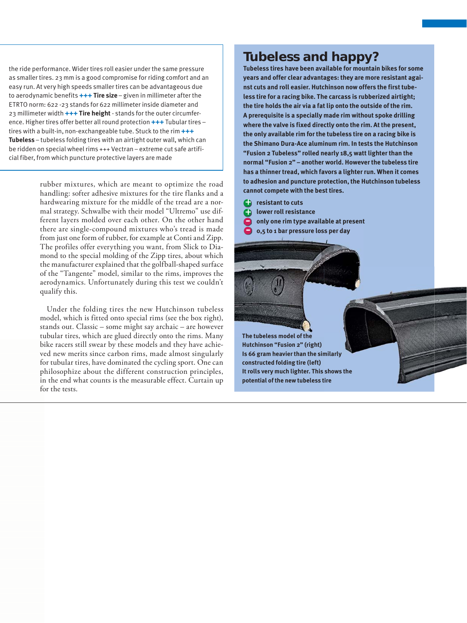the ride performance. Wider tires roll easier under the same pressure as smaller tires. 23 mm is a good compromise for riding comfort and an easy run. At very high speeds smaller tires can be advantageous due to aerodynamic benefits **+++ Tire size** – given in millimeter after the ETRTO norm: 622 -23 stands for 622 millimeter inside diameter and 23 millimeter width **+++ Tire height** - stands for the outer circumference. Higher tires offer better all round protection **+++** Tubular tires – tires with a built-in, non-exchangeable tube. Stuck to the rim **+++ Tubeless** – tubeless folding tires with an airtight outer wall, which can be ridden on special wheel rims +++ Vectran – extreme cut safe artificial fiber, from which puncture protective layers are made

> rubber mixtures, which are meant to optimize the road handling: softer adhesive mixtures for the tire flanks and a hardwearing mixture for the middle of the tread are a normal strategy. Schwalbe with their model "Ultremo" use different layers molded over each other. On the other hand there are single-compound mixtures who's tread is made from just one form of rubber, for example at Conti and Zipp. The profiles offer everything you want, from Slick to Diamond to the special molding of the Zipp tires, about which the manufacturer explained that the golfball-shaped surface of the "Tangente" model, similar to the rims, improves the aerodynamics. Unfortunately during this test we couldn't qualify this.

> Under the folding tires the new Hutchinson tubeless model, which is fitted onto special rims (see the box right), stands out. Classic – some might say archaic – are however tubular tires, which are glued directly onto the rims. Many bike racers still swear by these models and they have achieved new merits since carbon rims, made almost singularly for tubular tires, have dominated the cycling sport. One can philosophize about the different construction principles, in the end what counts is the measurable effect. Curtain up for the tests.

# *Tubeless and happy?*

**Tubeless tires have been available for mountain bikes for some years and offer clear advantages: they are more resistant against cuts and roll easier. Hutchinson now offers the first tubeless tire for a racing bike. The carcass is rubberized airtight; the tire holds the air via a fat lip onto the outside of the rim. A prerequisite is a specially made rim without spoke drilling where the valve is fixed directly onto the rim. At the present, the only available rim for the tubeless tire on a racing bike is the Shimano Dura-Ace aluminum rim. In tests the Hutchinson "Fusion 2 Tubeless" rolled nearly 18,5 watt lighter than the normal "Fusion 2" – another world. However the tubeless tire has a thinner tread, which favors a lighter run. When it comes to adhesion and puncture protection, the Hutchinson tubeless cannot compete with the best tires.**

- **resistant to cuts** *+*
- **lower roll resistance** *+*
- **only one rim type available at present** *-*
- **0,5 to 1 bar pressure loss per day** *-*



**It rolls very much lighter. This shows the** 

**potential of the new tubeless tire**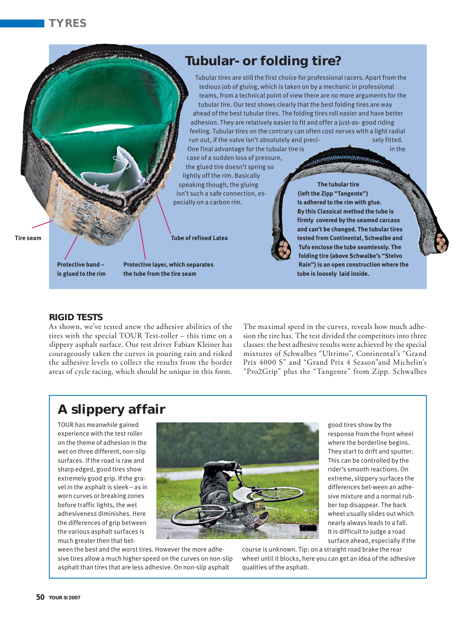

Tubular tires are still the first choice for professional racers. Apart from the tedious job of gluing, which is taken on by a mechanic in professional teams, from a technical point of view there are no more arguments for the tubular tire. Our test shows clearly that the best folding tires are way ahead of the best tubular tires. The folding tires roll easier and have better adhesion. They are relatively easier to fit and offer a just-as- good riding feeling. Tubular tires on the contrary can often cost nerves with a light radial run out, if the valve isn't absolutely and preci-<br>sely fitted.

One final advantage for the tubular tire is  $\overline{\phantom{a}}$  in the case of a sudden loss of pressure, the glued tire doesn't spring so lightly off the rim. Basically speaking though, the gluing isn't such a safe connection, especially on a carbon rim.

**Tube of refined Latex**

**Protective band – is glued to the rim**

**Tire seam**

**Protective layer, which separates the tube from the tire seam**

**The tubular tire (left the Zipp "Tangente") Is adhered to the rim with glue. By this Classical method the tube is firmly covered by the seamed carcass and can't be changed. The tubular tires tested from Continental, Schwalbe and Tufo enclose the tube seamlessly. The folding tire (above Schwalbe's "Stelvo Rain") is an open construction where the tube is loosely laid inside.**

**SUBDOMENTARIA** 

#### *RIGID TESTS*

As shown, we've tested anew the adhesive abilities of the tires with the special TOUR Test-roller – this time on a slippery asphalt surface. Our test driver Fabian Kleiner has courageously taken the curves in pouring rain and risked the adhesive levels to collect the results from the border areas of cycle racing, which should be unique in this form. The maximal speed in the curves, reveals how much adhesion the tire has. The test divided the competitors into three classes: the best adhesive results were achieved by the special mixtures of Schwalbes "Ultrimo", Continental's "Grand Prix 4000 S" and "Grand Prix 4 Season"and Michelin's "Pro2Grip" plus the "Tangente" from Zipp. Schwalbes

## *A slippery affair*

TOUR has meanwhile gained experience with the test roller on the theme of adhesion in the wet on three different, non-slip surfaces. If the road is raw and sharp edged, good tires show extremely good grip. If the gravel in the asphalt is sleek – as in worn curves or breaking zones before traffic lights, the wet adhesiveness diminishes. Here the differences of grip between the various asphalt surfaces is much greater then that bet-



ween the best and the worst tires. However the more adhesive tires allow a much higher speed on the curves on non-slip asphalt than tires that are less adhesive. On non-slip asphalt

good tires show by the response from the front wheel where the borderline begins. They start to drift and sputter. This can be controlled by the rider's smooth reactions. On extreme, slippery surfaces the differences bet-ween an adhesive mixture and a normal rubber top disappear. The back wheel usually slides out which nearly always leads to a fall. It is difficult to judge a road surface ahead, especially if the

course is unknown. Tip: on a straight road brake the rear wheel until it blocks, here you can get an idea of the adhesive qualities of the asphalt.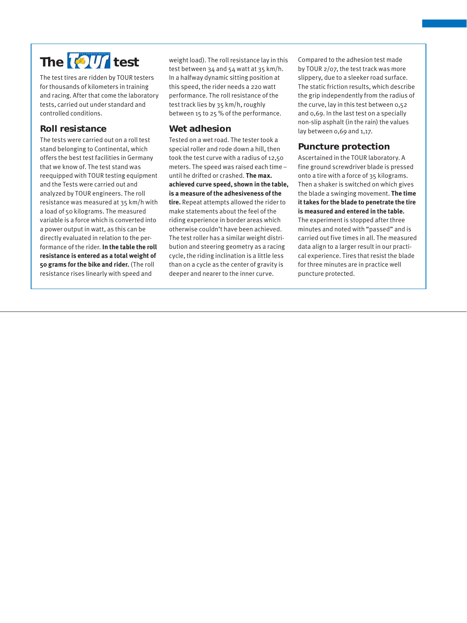

The test tires are ridden by TOUR testers for thousands of kilometers in training and racing. After that come the laboratory tests, carried out under standard and controlled conditions.

#### *Roll resistance*

The tests were carried out on a roll test stand belonging to Continental, which offers the best test facilities in Germany that we know of. The test stand was reequipped with TOUR testing equipment and the Tests were carried out and analyzed by TOUR engineers. The roll resistance was measured at 35 km/h with a load of 50 kilograms. The measured variable is a force which is converted into a power output in watt, as this can be directly evaluated in relation to the performance of the rider. **In the table the roll resistance is entered as a total weight of 50 grams for the bike and rider.** (The roll resistance rises linearly with speed and

weight load). The roll resistance lay in this test between 34 and 54 watt at 35 km/h. In a halfway dynamic sitting position at this speed, the rider needs a 220 watt performance. The roll resistance of the test track lies by 35 km/h, roughly between 15 to 25 % of the performance.

#### *Wet adhesion*

Tested on a wet road. The tester took a special roller and rode down a hill, then took the test curve with a radius of 12,50 meters. The speed was raised each time – until he drifted or crashed. **The max. achieved curve speed, shown in the table, is a measure of the adhesiveness of the tire.** Repeat attempts allowed the rider to make statements about the feel of the riding experience in border areas which otherwise couldn't have been achieved. The test roller has a similar weight distribution and steering geometry as a racing cycle, the riding inclination is a little less than on a cycle as the center of gravity is deeper and nearer to the inner curve.

Compared to the adhesion test made by TOUR 2/07, the test track was more slippery, due to a sleeker road surface. The static friction results, which describe the grip independently from the radius of the curve, lay in this test between 0,52 and 0,69. In the last test on a specially non-slip asphalt (in the rain) the values lay between 0,69 and 1,17.

### *Puncture protection*

Ascertained in the TOUR laboratory. A fine ground screwdriver blade is pressed onto a tire with a force of 35 kilograms. Then a shaker is switched on which gives the blade a swinging movement. **The time it takes for the blade to penetrate the tire is measured and entered in the table.** The experiment is stopped after three minutes and noted with "passed" and is carried out five times in all. The measured data align to a larger result in our practical experience. Tires that resist the blade for three minutes are in practice well puncture protected.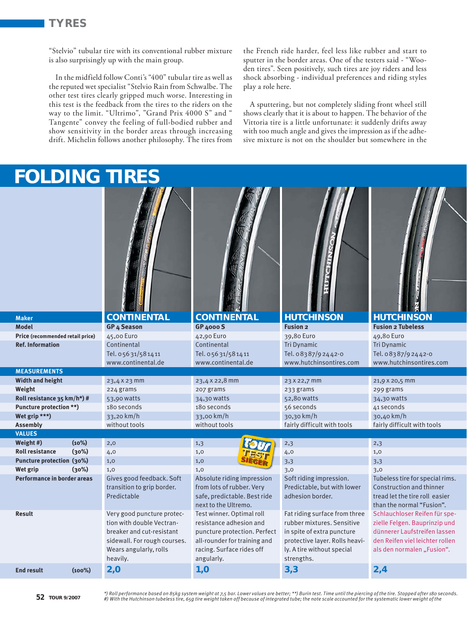"Stelvio" tubular tire with its conventional rubber mixture is also surprisingly up with the main group.

In the midfield follow Conti's "400" tubular tire as well as the reputed wet specialist "Stelvio Rain from Schwalbe. The other test tires clearly gripped much worse. Interesting in this test is the feedback from the tires to the riders on the way to the limit. "Ultrimo", "Grand Prix 4000 S" and " Tangente" convey the feeling of full-bodied rubber and show sensitivity in the border areas through increasing drift. Michelin follows another philosophy. The tires from

the French ride harder, feel less like rubber and start to sputter in the border areas. One of the testers said - "Wooden tires". Seen positively, such tires are joy riders and less shock absorbing - individual preferences and riding styles play a role here.

A sputtering, but not completely sliding front wheel still shows clearly that it is about to happen. The behavior of the Vittoria tire is a little unfortunate: it suddenly drifts away with too much angle and gives the impression as if the adhesive mixture is not on the shoulder but somewhere in the

| FOLDING TIRES                                                               |                                                                                                                                                            |                                                                                                                                                                 |                                                                                                                                                                         |                                                                                                                                                                 |
|-----------------------------------------------------------------------------|------------------------------------------------------------------------------------------------------------------------------------------------------------|-----------------------------------------------------------------------------------------------------------------------------------------------------------------|-------------------------------------------------------------------------------------------------------------------------------------------------------------------------|-----------------------------------------------------------------------------------------------------------------------------------------------------------------|
|                                                                             |                                                                                                                                                            |                                                                                                                                                                 |                                                                                                                                                                         |                                                                                                                                                                 |
| <b>Maker</b>                                                                | CONTINENTAL                                                                                                                                                | <b>CONTINENTAL</b>                                                                                                                                              | <b>HUTCHINSON</b><br><b>Fusion 2</b>                                                                                                                                    | <b>HUTCHINSON</b><br><b>Fusion 2 Tubeless</b>                                                                                                                   |
| <b>Model</b><br>Price (recommended retail price)<br><b>Ref. Information</b> | <b>GP4 Season</b><br>45,00 Euro<br>Continental<br>Tel. 05631/581411<br>www.continental.de                                                                  | <b>GP 4000 S</b><br>42,90 Euro<br>Continental<br>Tel. 05631/581411<br>www.continental.de                                                                        | 39,80 Euro<br>Tri Dynamic<br>Tel. 08387/92442-0<br>www.hutchinsontires.com                                                                                              | 49,80 Euro<br>Tri Dynamic<br>Tel. 08387/92442-0<br>www.hutchinsontires.com                                                                                      |
| <b>MEASUREMENTS</b>                                                         |                                                                                                                                                            |                                                                                                                                                                 |                                                                                                                                                                         |                                                                                                                                                                 |
| <b>Width and height</b>                                                     | 23,4 X 23 mm                                                                                                                                               | 23,4 x 22,8 mm                                                                                                                                                  | 23 x 22,7 mm                                                                                                                                                            | 21,9 X 20,5 mm                                                                                                                                                  |
| Weight                                                                      | 224 grams                                                                                                                                                  | 207 grams                                                                                                                                                       | 233 grams                                                                                                                                                               | 299 grams                                                                                                                                                       |
| Roll resistance 35 km/h*) #                                                 | 53,90 watts                                                                                                                                                | 34,30 watts                                                                                                                                                     | 52,80 watts                                                                                                                                                             | 34,30 watts                                                                                                                                                     |
| Puncture protection **)                                                     | 180 seconds                                                                                                                                                | 180 seconds                                                                                                                                                     | 56 seconds                                                                                                                                                              | 41 seconds                                                                                                                                                      |
| Wet grip ***)<br><b>Assembly</b>                                            | 33,20 km/h<br>without tools                                                                                                                                | 33,00 km/h<br>without tools                                                                                                                                     | 30,30 km/h<br>fairly difficult with tools                                                                                                                               | 30,40 km/h<br>fairly difficult with tools                                                                                                                       |
| <b>VALUES</b>                                                               |                                                                                                                                                            |                                                                                                                                                                 |                                                                                                                                                                         |                                                                                                                                                                 |
| (10%)<br>Weight #)                                                          | 2,0                                                                                                                                                        | 1,3                                                                                                                                                             | 2,3                                                                                                                                                                     | 2,3                                                                                                                                                             |
| <b>Roll resistance</b><br>(30%)                                             | 4,0                                                                                                                                                        | 1,0                                                                                                                                                             | 4,0                                                                                                                                                                     | 1,0                                                                                                                                                             |
| Puncture protection (30%)                                                   | 1,0                                                                                                                                                        | 1,0                                                                                                                                                             | 3,3                                                                                                                                                                     | 3,3                                                                                                                                                             |
| (30%)<br>Wet grip                                                           | 1,0                                                                                                                                                        | 1,0                                                                                                                                                             | 3,0                                                                                                                                                                     | 3,0                                                                                                                                                             |
| Performance in border areas                                                 | Gives good feedback. Soft<br>transition to grip border.<br>Predictable                                                                                     | Absolute riding impression<br>from lots of rubber. Very<br>safe, predictable. Best ride<br>next to the Ultremo.                                                 | Soft riding impression.<br>Predictable, but with lower<br>adhesion border.                                                                                              | Tubeless tire for special rims.<br>Construction and thinner<br>tread let the tire roll easier<br>than the normal "Fusion".                                      |
| <b>Result</b>                                                               | Very good puncture protec-<br>tion with double Vectran-<br>breaker and cut-resistant<br>sidewall. For rough courses.<br>Wears angularly, rolls<br>heavily. | Test winner. Optimal roll<br>resistance adhesion and<br>puncture protection. Perfect<br>all-rounder for training and<br>racing. Surface rides off<br>angularly. | Fat riding surface from three<br>rubber mixtures. Sensitive<br>in spite of extra puncture<br>protective layer. Rolls heavi-<br>ly. A tire without special<br>strengths. | Schlauchloser Reifen für spe-<br>zielle Felgen. Bauprinzip und<br>dünnerer Laufstreifen lassen<br>den Reifen viel leichter rollen<br>als den normalen "Fusion". |
| <b>End result</b><br>(100%)                                                 | 2,0                                                                                                                                                        | 1,0                                                                                                                                                             | 3,3                                                                                                                                                                     | 2,4                                                                                                                                                             |
|                                                                             |                                                                                                                                                            |                                                                                                                                                                 |                                                                                                                                                                         |                                                                                                                                                                 |

\*) Roll performance based on 85kg system weight at 7,5 bar. Lower values are better; \*\*) Burin test. Time until the piercing of the tire. Stopped after 180 seconds.<br>#) With the Hutchinson tubeless tire, 65g tire weight tak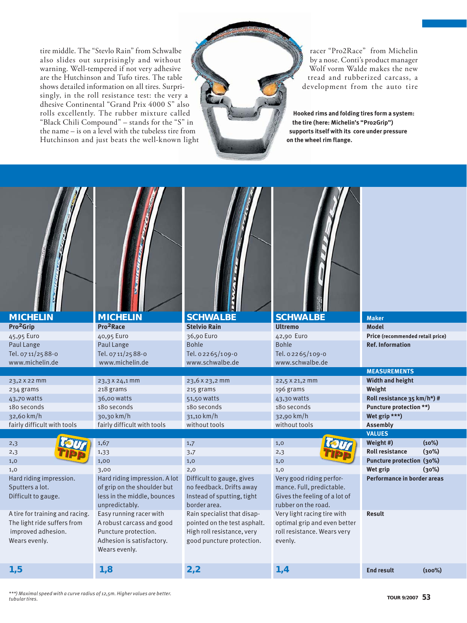tire middle. The "Stevlo Rain" from Schwalbe also slides out surprisingly and without warning. Well-tempered if not very adhesive are the Hutchinson and Tufo tires. The table shows detailed information on all tires. Surprisingly, in the roll resistance test: the very a dhesive Continental "Grand Prix 4000 S" also rolls excellently. The rubber mixture called "Black Chili Compound" – stands for the "S" in the name – is on a level with the tubeless tire from Hutchinson and just beats the well-known light



racer "Pro2Race" from Michelin by a nose. Conti's product manager Wolf vorm Walde makes the new tread and rubberized carcass, a development from the auto tire

**Hooked rims and folding tires form a system: the tire (here: Michelin's "Pro2Grip") supports itself with its core under pressure on the wheel rim flange.**

| <b>MICHELIN</b>                 | <b>MICHELIN</b>               | <b>SCHWALBE</b>              | <b>SCHWALBE</b>               | <b>Maker</b>                     |           |
|---------------------------------|-------------------------------|------------------------------|-------------------------------|----------------------------------|-----------|
| Pro <sup>2</sup> Grip           | Pro <sup>2</sup> Race         | <b>Stelvio Rain</b>          | <b>Ultremo</b>                | <b>Model</b>                     |           |
| 45,95 Euro                      | 40,95 Euro                    | 36,90 Euro                   | 42,90 Euro                    | Price (recommended retail price) |           |
| Paul Lange                      | Paul Lange                    | <b>Bohle</b>                 | <b>Bohle</b>                  | <b>Ref. Information</b>          |           |
| Tel. 07 11/25 88-0              | Tel. 07 11/25 88-0            | Tel. 02265/109-0             | Tel. 02265/109-0              |                                  |           |
| www.michelin.de                 | www.michelin.de               | www.schwalbe.de              | www.schwalbe.de               |                                  |           |
|                                 |                               |                              |                               | <b>MEASUREMENTS</b>              |           |
| 23,2 X 22 mm                    | 23,3 x 24,1 mm                | 23,6 x 23,2 mm               | 22,5 X 21,2 mm                | Width and height                 |           |
| 234 grams                       | 218 grams                     | 215 grams                    | 196 grams                     | Weight                           |           |
| 43,70 watts                     | 36,00 watts                   | 51,50 watts                  | 43,30 watts                   | Roll resistance 35 km/h*) #      |           |
| 180 seconds                     | 180 seconds                   | 180 seconds                  | 180 seconds                   | Puncture protection **)          |           |
| $32,60$ km/h                    | $30,30$ km/h                  | 31,10 km/h                   | 32,90 km/h                    | Wet grip ***)                    |           |
| fairly difficult with tools     | fairly difficult with tools   | without tools                | without tools                 | <b>Assembly</b>                  |           |
|                                 |                               |                              |                               | <b>VALUES</b>                    |           |
| 2,3                             | 1,67                          | 1,7                          | 1,0                           | Weight #)                        | (10%)     |
| 2,3                             | 1,33                          | 3,7                          | 2,3                           | <b>Roll resistance</b>           | (30%)     |
| 1,0                             | 1,00                          | 1,0                          | 1,0                           | Puncture protection (30%)        |           |
| 1,0                             | 3,00                          | 2,0                          | 1,0                           | Wet grip                         | (30%)     |
| Hard riding impression.         | Hard riding impression. A lot | Difficult to gauge, gives    | Very good riding perfor-      | Performance in border areas      |           |
| Sputters a lot.                 | of grip on the shoulder but   | no feedback. Drifts away     | mance. Full, predictable.     |                                  |           |
| Difficult to gauge.             | less in the middle, bounces   | Instead of sputting, tight   | Gives the feeling of a lot of |                                  |           |
|                                 | unpredictably.                | border area.                 | rubber on the road.           |                                  |           |
| A tire for training and racing. | Easy running racer with       | Rain specialist that disap-  | Very light racing tire with   | Result                           |           |
| The light ride suffers from     | A robust carcass and good     | pointed on the test asphalt. | optimal grip and even better  |                                  |           |
| improved adhesion.              | Puncture protection.          | High roll resistance, very   | roll resistance. Wears very   |                                  |           |
| Wears evenly.                   | Adhesion is satisfactory.     | good puncture protection.    | evenly.                       |                                  |           |
|                                 | Wears evenly.                 |                              |                               |                                  |           |
|                                 |                               |                              |                               |                                  |           |
| 1,5                             | 1,8                           | 2,2                          | 1,4                           | <b>End result</b>                | $(100\%)$ |
|                                 |                               |                              |                               |                                  |           |

 *\*\*\*) Maximal speed with a curve radius of 12,5m. Higher values are better. tubular tires.*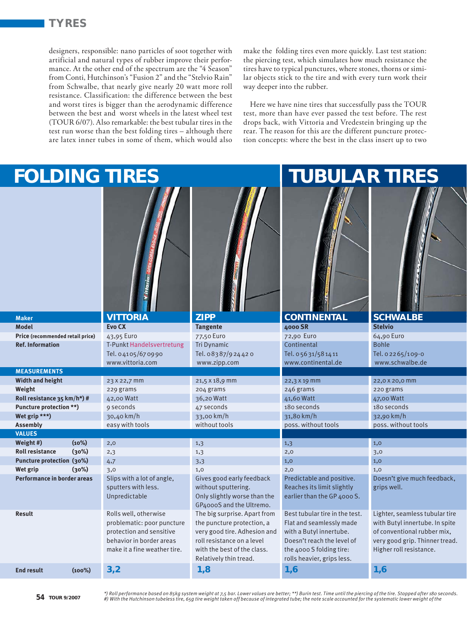designers, responsible: nano particles of soot together with artificial and natural types of rubber improve their performance. At the other end of the spectrum are the "4 Season" from Conti, Hutchinson's "Fusion 2" and the "Stelvio Rain" from Schwalbe, that nearly give nearly 20 watt more roll resistance. Classification: the difference between the best and worst tires is bigger than the aerodynamic difference between the best and worst wheels in the latest wheel test (TOUR 6/07). Also remarkable: the best tubular tires in the test run worse than the best folding tires – although there are latex inner tubes in some of them, which would also

make the folding tires even more quickly. Last test station: the piercing test, which simulates how much resistance the tires have to typical punctures, where stones, thorns or similar objects stick to the tire and with every turn work their way deeper into the rubber.

Here we have nine tires that successfully pass the TOUR test, more than have ever passed the test before. The rest drops back, with Vittoria and Vredestein bringing up the rear. The reason for this are the different puncture protection concepts: where the best in the class insert up to two

| <b>FOLDING TIRES</b>                             |           |                                                                                                                                             | <b>TUBULAR TIRES</b>                                                                                                                                                              |                                                                                                                                                                               |                                                                                                                                                              |
|--------------------------------------------------|-----------|---------------------------------------------------------------------------------------------------------------------------------------------|-----------------------------------------------------------------------------------------------------------------------------------------------------------------------------------|-------------------------------------------------------------------------------------------------------------------------------------------------------------------------------|--------------------------------------------------------------------------------------------------------------------------------------------------------------|
|                                                  |           |                                                                                                                                             |                                                                                                                                                                                   |                                                                                                                                                                               |                                                                                                                                                              |
| <b>Maker</b>                                     |           | <b>VITTORIA</b>                                                                                                                             | <b>ZIPP</b>                                                                                                                                                                       | <b>CONTINENTAL</b>                                                                                                                                                            | <b>SCHWALBE</b><br><b>Stelvio</b>                                                                                                                            |
| <b>Model</b><br>Price (recommended retail price) |           | <b>Evo CX</b><br>43,95 Euro                                                                                                                 | <b>Tangente</b><br>77,50 Euro                                                                                                                                                     | 4000 SR<br>72,90 Euro                                                                                                                                                         | 64,90 Euro                                                                                                                                                   |
| <b>Ref. Information</b>                          |           | T-Punkt Handelsvertretung                                                                                                                   | Tri Dynamic                                                                                                                                                                       | Continental                                                                                                                                                                   | <b>Bohle</b>                                                                                                                                                 |
|                                                  |           | Tel. 04105/670990                                                                                                                           | Tel. 08387/924420                                                                                                                                                                 | Tel. 05631/581411                                                                                                                                                             | Tel. 02265/109-0                                                                                                                                             |
|                                                  |           | www.vittoria.com                                                                                                                            | www.zipp.com                                                                                                                                                                      | www.continental.de                                                                                                                                                            | www.schwalbe.de                                                                                                                                              |
| <b>MEASUREMENTS</b>                              |           |                                                                                                                                             |                                                                                                                                                                                   |                                                                                                                                                                               |                                                                                                                                                              |
| Width and height                                 |           | 23 x 22,7 mm                                                                                                                                | 21,5 X 18,9 mm                                                                                                                                                                    | 22,3 X 19 mm                                                                                                                                                                  | 22,0 X 20,0 mm                                                                                                                                               |
| Weight                                           |           | 229 grams                                                                                                                                   | 204 grams                                                                                                                                                                         | 246 grams                                                                                                                                                                     | 220 grams                                                                                                                                                    |
| Roll resistance 35 km/h*) #                      |           | 42,00 Watt                                                                                                                                  | 36,20 Watt                                                                                                                                                                        | 41,60 Watt                                                                                                                                                                    | 47,00 Watt                                                                                                                                                   |
| Puncture protection **)                          |           | 9 seconds                                                                                                                                   | 47 seconds                                                                                                                                                                        | 180 seconds                                                                                                                                                                   | 180 seconds                                                                                                                                                  |
| Wet grip ***)                                    |           | 30,40 km/h                                                                                                                                  | 33,00 km/h                                                                                                                                                                        | 31,80 km/h                                                                                                                                                                    | 32,90 km/h                                                                                                                                                   |
| <b>Assembly</b>                                  |           | easy with tools                                                                                                                             | without tools                                                                                                                                                                     | poss. without tools                                                                                                                                                           | poss. without tools                                                                                                                                          |
| <b>VALUES</b>                                    |           |                                                                                                                                             |                                                                                                                                                                                   |                                                                                                                                                                               |                                                                                                                                                              |
| Weight#)                                         | (10%)     | 2,0                                                                                                                                         | 1,3                                                                                                                                                                               | 1,3                                                                                                                                                                           | 1,0                                                                                                                                                          |
| <b>Roll resistance</b>                           | (30%)     | 2,3                                                                                                                                         | 1,3                                                                                                                                                                               | 2,0                                                                                                                                                                           | 3,0                                                                                                                                                          |
| Puncture protection (30%)<br>Wet grip            | (30%)     | 4,7<br>3,0                                                                                                                                  | 3,3<br>1,0                                                                                                                                                                        | 1,0<br>2,0                                                                                                                                                                    | 1,0<br>1,0                                                                                                                                                   |
| Performance in border areas                      |           | Slips with a lot of angle,<br>sputters with less.<br>Unpredictable                                                                          | Gives good early feedback<br>without sputtering.<br>Only slightly worse than the                                                                                                  | Predictable and positive.<br>Reaches its limit slightly<br>earlier than the GP 4000 S.                                                                                        | Doesn't give much feedback,<br>grips well.                                                                                                                   |
|                                                  |           |                                                                                                                                             | GP4000S and the Ultremo.                                                                                                                                                          |                                                                                                                                                                               |                                                                                                                                                              |
| Result                                           |           | Rolls well, otherwise<br>problematic: poor puncture<br>protection and sensitive<br>behavior in border areas<br>make it a fine weather tire. | The big surprise. Apart from<br>the puncture protection, a<br>very good tire. Adhesion and<br>roll resistance on a level<br>with the best of the class.<br>Relatively thin tread. | Best tubular tire in the test.<br>Flat and seamlessly made<br>with a Butyl innertube.<br>Doesn't reach the level of<br>the 4000 S folding tire:<br>rolls heavier, grips less. | Lighter, seamless tubular tire<br>with Butyl innertube. In spite<br>of conventional rubber mix,<br>very good grip. Thinner tread.<br>Higher roll resistance. |
| <b>End result</b>                                | $(100\%)$ | 3,2                                                                                                                                         | 1,8                                                                                                                                                                               | 1,6                                                                                                                                                                           | 1,6                                                                                                                                                          |

\*) Roll performance based on 85kg system weight at 7,5 bar. Lower values are better; \*\*) Burin test. Time until the piercing of the tire. Stopped after 180 seconds.<br>#) With the Hutchinson tubeless tire, 65g tire weight tak